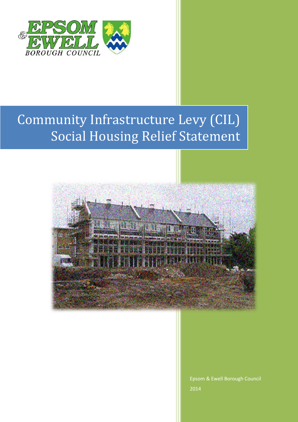

## Community Infrastructure Levy (CIL) Social Housing Relief Statement



Epsom & Ewell Borough Council 2014